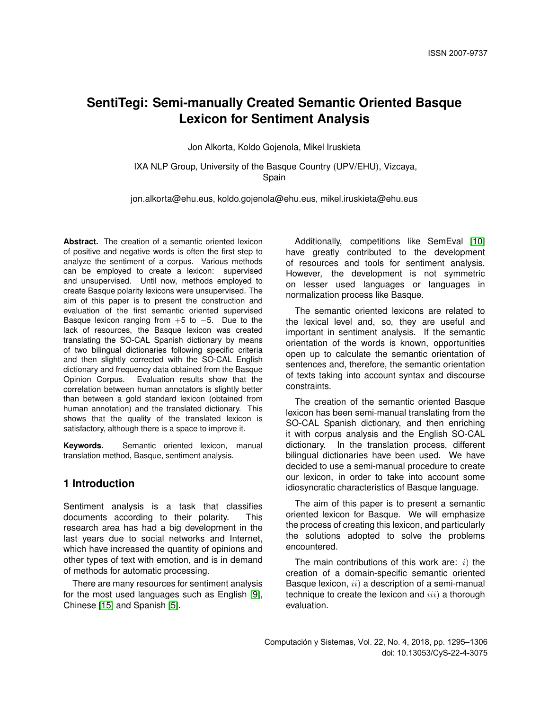Jon Alkorta, Koldo Gojenola, Mikel Iruskieta

IXA NLP Group, University of the Basque Country (UPV/EHU), Vizcaya, Spain

jon.alkorta@ehu.eus, koldo.gojenola@ehu.eus, mikel.iruskieta@ehu.eus

**Abstract.** The creation of a semantic oriented lexicon of positive and negative words is often the first step to analyze the sentiment of a corpus. Various methods can be employed to create a lexicon: supervised and unsupervised. Until now, methods employed to create Basque polarity lexicons were unsupervised. The aim of this paper is to present the construction and evaluation of the first semantic oriented supervised Basque lexicon ranging from +5 to −5. Due to the lack of resources, the Basque lexicon was created translating the SO-CAL Spanish dictionary by means of two bilingual dictionaries following specific criteria and then slightly corrected with the SO-CAL English dictionary and frequency data obtained from the Basque Opinion Corpus. Evaluation results show that the correlation between human annotators is slightly better than between a gold standard lexicon (obtained from human annotation) and the translated dictionary. This shows that the quality of the translated lexicon is satisfactory, although there is a space to improve it.

**Keywords.** Semantic oriented lexicon, manual translation method, Basque, sentiment analysis.

### **1 Introduction**

Sentiment analysis is a task that classifies documents according to their polarity. This research area has had a big development in the last years due to social networks and Internet, which have increased the quantity of opinions and other types of text with emotion, and is in demand of methods for automatic processing.

There are many resources for sentiment analysis for the most used languages such as English [\[9\]](#page-11-0), Chinese [\[15\]](#page-11-1) and Spanish [\[5\]](#page-11-2).

Additionally, competitions like SemEval [\[10\]](#page-11-3) have greatly contributed to the development of resources and tools for sentiment analysis. However, the development is not symmetric on lesser used languages or languages in normalization process like Basque.

The semantic oriented lexicons are related to the lexical level and, so, they are useful and important in sentiment analysis. If the semantic orientation of the words is known, opportunities open up to calculate the semantic orientation of sentences and, therefore, the semantic orientation of texts taking into account syntax and discourse constraints.

The creation of the semantic oriented Basque lexicon has been semi-manual translating from the SO-CAL Spanish dictionary, and then enriching it with corpus analysis and the English SO-CAL dictionary. In the translation process, different bilingual dictionaries have been used. We have decided to use a semi-manual procedure to create our lexicon, in order to take into account some idiosyncratic characteristics of Basque language.

The aim of this paper is to present a semantic oriented lexicon for Basque. We will emphasize the process of creating this lexicon, and particularly the solutions adopted to solve the problems encountered.

The main contributions of this work are:  $i)$  the creation of a domain-specific semantic oriented Basque lexicon,  $ii)$  a description of a semi-manual technique to create the lexicon and  $iii)$  a thorough evaluation.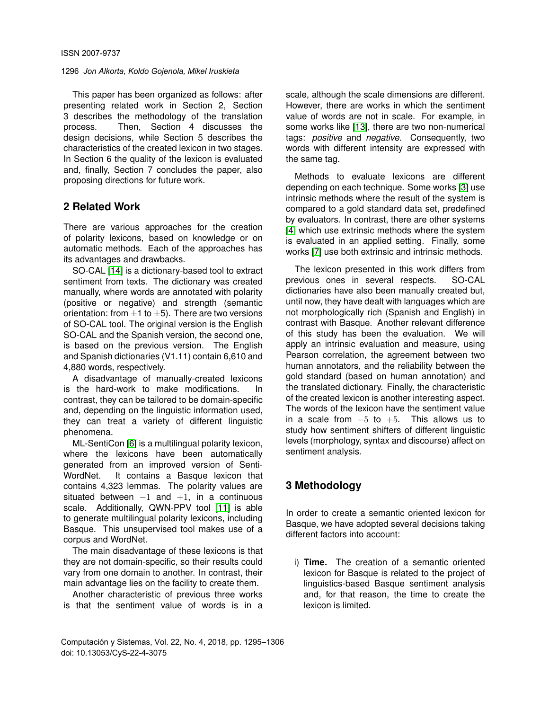This paper has been organized as follows: after presenting related work in Section 2, Section 3 describes the methodology of the translation process. Then, Section 4 discusses the design decisions, while Section 5 describes the characteristics of the created lexicon in two stages. In Section 6 the quality of the lexicon is evaluated and, finally, Section 7 concludes the paper, also proposing directions for future work.

### **2 Related Work**

There are various approaches for the creation of polarity lexicons, based on knowledge or on automatic methods. Each of the approaches has its advantages and drawbacks.

SO-CAL [\[14\]](#page-11-4) is a dictionary-based tool to extract sentiment from texts. The dictionary was created manually, where words are annotated with polarity (positive or negative) and strength (semantic orientation: from  $\pm 1$  to  $\pm 5$ ). There are two versions of SO-CAL tool. The original version is the English SO-CAL and the Spanish version, the second one, is based on the previous version. The English and Spanish dictionaries (V1.11) contain 6,610 and 4,880 words, respectively.

A disadvantage of manually-created lexicons is the hard-work to make modifications. In contrast, they can be tailored to be domain-specific and, depending on the linguistic information used, they can treat a variety of different linguistic phenomena.

ML-SentiCon [\[6\]](#page-11-5) is a multilingual polarity lexicon, where the lexicons have been automatically generated from an improved version of Senti-WordNet. It contains a Basque lexicon that contains 4,323 lemmas. The polarity values are situated between  $-1$  and  $+1$ , in a continuous scale. Additionally, QWN-PPV tool [\[11\]](#page-11-6) is able to generate multilingual polarity lexicons, including Basque. This unsupervised tool makes use of a corpus and WordNet.

The main disadvantage of these lexicons is that they are not domain-specific, so their results could vary from one domain to another. In contrast, their main advantage lies on the facility to create them.

Another characteristic of previous three works is that the sentiment value of words is in a scale, although the scale dimensions are different. However, there are works in which the sentiment value of words are not in scale. For example, in some works like [\[13\]](#page-11-7), there are two non-numerical tags: *positive* and *negative*. Consequently, two words with different intensity are expressed with the same tag.

Methods to evaluate lexicons are different depending on each technique. Some works [\[3\]](#page-11-8) use intrinsic methods where the result of the system is compared to a gold standard data set, predefined by evaluators. In contrast, there are other systems [\[4\]](#page-11-9) which use extrinsic methods where the system is evaluated in an applied setting. Finally, some works [\[7\]](#page-11-10) use both extrinsic and intrinsic methods.

The lexicon presented in this work differs from previous ones in several respects. SO-CAL dictionaries have also been manually created but, until now, they have dealt with languages which are not morphologically rich (Spanish and English) in contrast with Basque. Another relevant difference of this study has been the evaluation. We will apply an intrinsic evaluation and measure, using Pearson correlation, the agreement between two human annotators, and the reliability between the gold standard (based on human annotation) and the translated dictionary. Finally, the characteristic of the created lexicon is another interesting aspect. The words of the lexicon have the sentiment value in a scale from  $-5$  to  $+5$ . This allows us to study how sentiment shifters of different linguistic levels (morphology, syntax and discourse) affect on sentiment analysis.

# **3 Methodology**

In order to create a semantic oriented lexicon for Basque, we have adopted several decisions taking different factors into account:

i) **Time.** The creation of a semantic oriented lexicon for Basque is related to the project of linguistics-based Basque sentiment analysis and, for that reason, the time to create the lexicon is limited.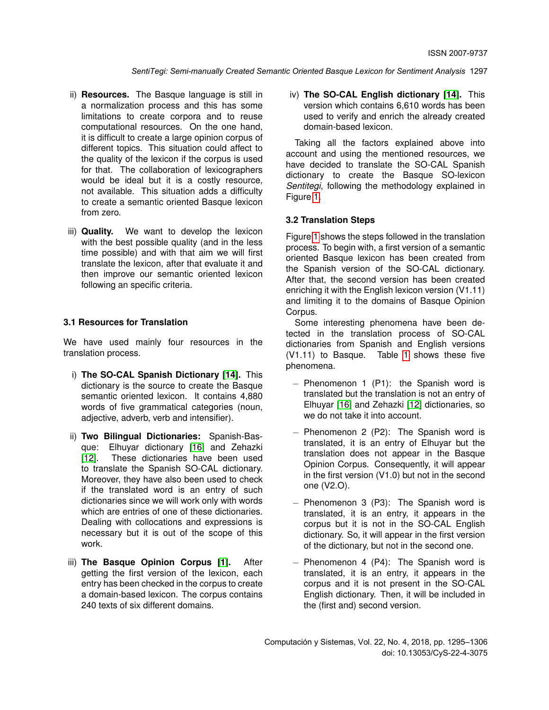- ii) **Resources.** The Basque language is still in a normalization process and this has some limitations to create corpora and to reuse computational resources. On the one hand, it is difficult to create a large opinion corpus of different topics. This situation could affect to the quality of the lexicon if the corpus is used for that. The collaboration of lexicographers would be ideal but it is a costly resource, not available. This situation adds a difficulty to create a semantic oriented Basque lexicon from zero.
- iii) **Quality.** We want to develop the lexicon with the best possible quality (and in the less time possible) and with that aim we will first translate the lexicon, after that evaluate it and then improve our semantic oriented lexicon following an specific criteria.

#### **3.1 Resources for Translation**

We have used mainly four resources in the translation process.

- i) **The SO-CAL Spanish Dictionary [\[14\]](#page-11-4).** This dictionary is the source to create the Basque semantic oriented lexicon. It contains 4,880 words of five grammatical categories (noun, adjective, adverb, verb and intensifier).
- ii) **Two Bilingual Dictionaries:** Spanish-Basque: Elhuyar dictionary [\[16\]](#page-11-11) and Zehazki [\[12\]](#page-11-12). These dictionaries have been used to translate the Spanish SO-CAL dictionary. Moreover, they have also been used to check if the translated word is an entry of such dictionaries since we will work only with words which are entries of one of these dictionaries. Dealing with collocations and expressions is necessary but it is out of the scope of this work.
- iii) **The Basque Opinion Corpus [\[1\]](#page-11-13).** After getting the first version of the lexicon, each entry has been checked in the corpus to create a domain-based lexicon. The corpus contains 240 texts of six different domains.

iv) **The SO-CAL English dictionary [\[14\]](#page-11-4).** This version which contains 6,610 words has been used to verify and enrich the already created domain-based lexicon.

Taking all the factors explained above into account and using the mentioned resources, we have decided to translate the SO-CAL Spanish dictionary to create the Basque SO-lexicon *Sentitegi*, following the methodology explained in Figure [1.](#page-3-0)

#### **3.2 Translation Steps**

Figure [1](#page-3-0) shows the steps followed in the translation process. To begin with, a first version of a semantic oriented Basque lexicon has been created from the Spanish version of the SO-CAL dictionary. After that, the second version has been created enriching it with the English lexicon version (V1.11) and limiting it to the domains of Basque Opinion Corpus.

Some interesting phenomena have been detected in the translation process of SO-CAL dictionaries from Spanish and English versions (V1.11) to Basque. Table [1](#page-4-0) shows these five phenomena.

- − Phenomenon 1 (P1): the Spanish word is translated but the translation is not an entry of Elhuyar [\[16\]](#page-11-11) and Zehazki [\[12\]](#page-11-12) dictionaries, so we do not take it into account.
- − Phenomenon 2 (P2): The Spanish word is translated, it is an entry of Elhuyar but the translation does not appear in the Basque Opinion Corpus. Consequently, it will appear in the first version (V1.0) but not in the second one (V2.O).
- − Phenomenon 3 (P3): The Spanish word is translated, it is an entry, it appears in the corpus but it is not in the SO-CAL English dictionary. So, it will appear in the first version of the dictionary, but not in the second one.
- − Phenomenon 4 (P4): The Spanish word is translated, it is an entry, it appears in the corpus and it is not present in the SO-CAL English dictionary. Then, it will be included in the (first and) second version.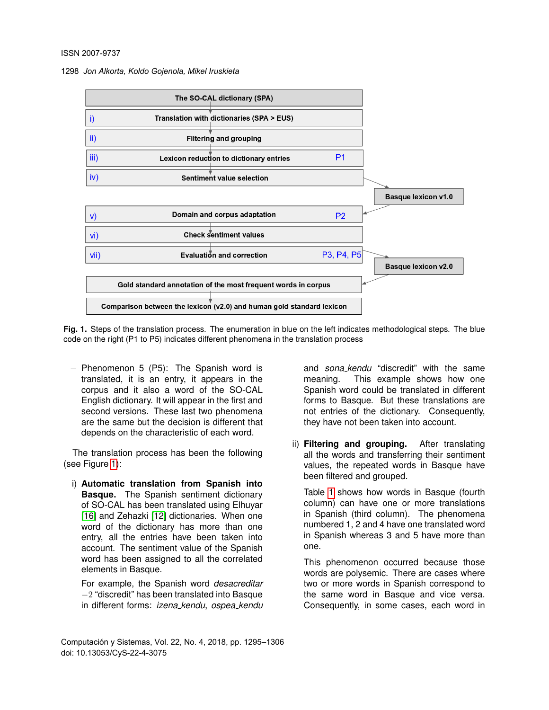<span id="page-3-0"></span>

**Fig. 1.** Steps of the translation process. The enumeration in blue on the left indicates methodological steps. The blue code on the right (P1 to P5) indicates different phenomena in the translation process

− Phenomenon 5 (P5): The Spanish word is translated, it is an entry, it appears in the corpus and it also a word of the SO-CAL English dictionary. It will appear in the first and second versions. These last two phenomena are the same but the decision is different that depends on the characteristic of each word.

The translation process has been the following (see Figure [1\)](#page-3-0):

i) **Automatic translation from Spanish into Basque.** The Spanish sentiment dictionary of SO-CAL has been translated using Elhuyar [\[16\]](#page-11-11) and Zehazki [\[12\]](#page-11-12) dictionaries. When one word of the dictionary has more than one entry, all the entries have been taken into account. The sentiment value of the Spanish word has been assigned to all the correlated elements in Basque.

For example, the Spanish word *desacreditar* −2 "discredit" has been translated into Basque in different forms: *izena kendu*, *ospea kendu*

and *sona kendu* "discredit" with the same meaning. This example shows how one Spanish word could be translated in different forms to Basque. But these translations are not entries of the dictionary. Consequently, they have not been taken into account.

ii) **Filtering and grouping.** After translating all the words and transferring their sentiment values, the repeated words in Basque have been filtered and grouped.

Table [1](#page-4-0) shows how words in Basque (fourth column) can have one or more translations in Spanish (third column). The phenomena numbered 1, 2 and 4 have one translated word in Spanish whereas 3 and 5 have more than one.

This phenomenon occurred because those words are polysemic. There are cases where two or more words in Spanish correspond to the same word in Basque and vice versa. Consequently, in some cases, each word in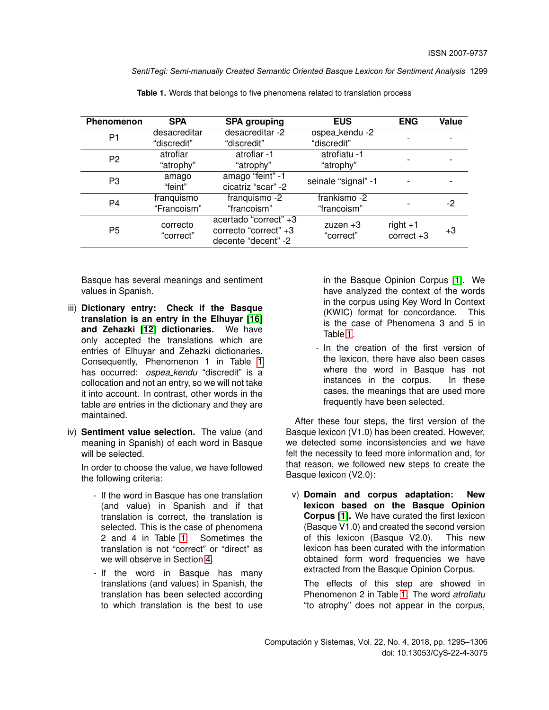<span id="page-4-0"></span>

| <b>Phenomenon</b> | <b>SPA</b>   | <b>SPA grouping</b>   | <b>EUS</b>          | <b>ENG</b>   | Value |
|-------------------|--------------|-----------------------|---------------------|--------------|-------|
| P <sub>1</sub>    | desacreditar | desacreditar -2       | ospea_kendu -2      |              |       |
|                   | "discredit"  | "discredit"           | "discredit"         |              |       |
| P <sub>2</sub>    | atrofiar     | atrofiar -1           | atrofiatu -1        |              |       |
|                   | "atrophy"    | "atrophy"             | "atrophy"           |              |       |
| P <sub>3</sub>    | amago        | amago "feint" -1      | seinale "signal" -1 |              |       |
|                   | "feint"      | cicatriz "scar" -2    |                     |              |       |
| P <sub>4</sub>    | franquismo   | franquismo -2         | frankismo -2        |              | -2    |
|                   | "Francoism"  | "francoism"           | "francoism"         |              |       |
|                   | correcto     | acertado "correct" +3 | zuzen $+3$          | $right + 1$  |       |
| P <sub>5</sub>    | "correct"    | correcto "correct" +3 | "correct"           | $correct +3$ | +3    |
|                   |              | decente "decent" -2   |                     |              |       |

**Table 1.** Words that belongs to five phenomena related to translation process

Basque has several meanings and sentiment values in Spanish.

- iii) **Dictionary entry: Check if the Basque translation is an entry in the Elhuyar [\[16\]](#page-11-11) and Zehazki [\[12\]](#page-11-12) dictionaries.** We have only accepted the translations which are entries of Elhuyar and Zehazki dictionaries. Consequently, Phenomenon 1 in Table [1](#page-4-0) has occurred: *ospea kendu* "discredit" is a collocation and not an entry, so we will not take it into account. In contrast, other words in the table are entries in the dictionary and they are maintained.
- iv) **Sentiment value selection.** The value (and meaning in Spanish) of each word in Basque will be selected.

In order to choose the value, we have followed the following criteria:

- If the word in Basque has one translation (and value) in Spanish and if that translation is correct, the translation is selected. This is the case of phenomena 2 and 4 in Table [1.](#page-4-0) Sometimes the translation is not "correct" or "direct" as we will observe in Section [4.](#page-5-0)
- If the word in Basque has many translations (and values) in Spanish, the translation has been selected according to which translation is the best to use

in the Basque Opinion Corpus [\[1\]](#page-11-13). We have analyzed the context of the words in the corpus using Key Word In Context (KWIC) format for concordance. This is the case of Phenomena 3 and 5 in Table [1.](#page-4-0)

- In the creation of the first version of the lexicon, there have also been cases where the word in Basque has not instances in the corpus. In these cases, the meanings that are used more frequently have been selected.

After these four steps, the first version of the Basque lexicon (V1.0) has been created. However, we detected some inconsistencies and we have felt the necessity to feed more information and, for that reason, we followed new steps to create the Basque lexicon (V2.0):

v) **Domain and corpus adaptation: New lexicon based on the Basque Opinion Corpus [\[1\]](#page-11-13).** We have curated the first lexicon (Basque V1.0) and created the second version of this lexicon (Basque V2.0). This new lexicon has been curated with the information obtained form word frequencies we have extracted from the Basque Opinion Corpus.

The effects of this step are showed in Phenomenon 2 in Table [1.](#page-4-0) The word *atrofiatu* "to atrophy" does not appear in the corpus,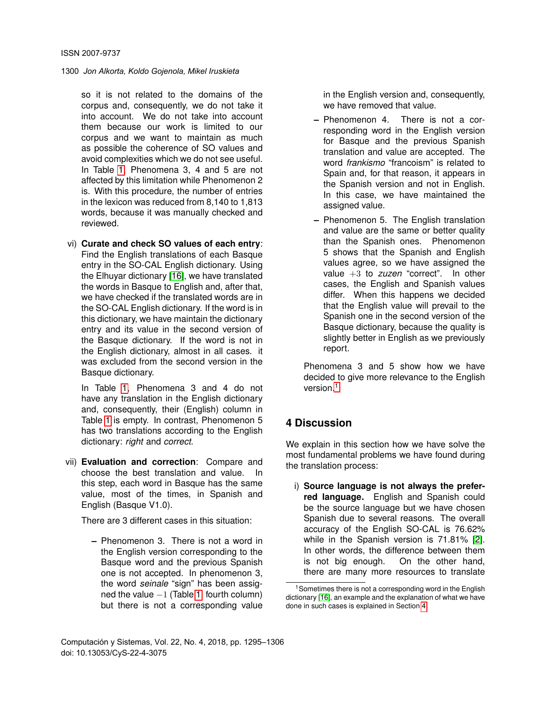so it is not related to the domains of the corpus and, consequently, we do not take it into account. We do not take into account them because our work is limited to our corpus and we want to maintain as much as possible the coherence of SO values and avoid complexities which we do not see useful. In Table [1,](#page-4-0) Phenomena 3, 4 and 5 are not affected by this limitation while Phenomenon 2 is. With this procedure, the number of entries in the lexicon was reduced from 8,140 to 1,813 words, because it was manually checked and reviewed.

vi) **Curate and check SO values of each entry**: Find the English translations of each Basque entry in the SO-CAL English dictionary. Using the Elhuyar dictionary [\[16\]](#page-11-11), we have translated the words in Basque to English and, after that, we have checked if the translated words are in the SO-CAL English dictionary. If the word is in this dictionary, we have maintain the dictionary entry and its value in the second version of the Basque dictionary. If the word is not in the English dictionary, almost in all cases. it was excluded from the second version in the Basque dictionary.

In Table [1,](#page-4-0) Phenomena 3 and 4 do not have any translation in the English dictionary and, consequently, their (English) column in Table [1](#page-4-0) is empty. In contrast, Phenomenon 5 has two translations according to the English dictionary: *right* and *correct*.

vii) **Evaluation and correction**: Compare and choose the best translation and value. In this step, each word in Basque has the same value, most of the times, in Spanish and English (Basque V1.0).

There are 3 different cases in this situation:

**–** Phenomenon 3. There is not a word in the English version corresponding to the Basque word and the previous Spanish one is not accepted. In phenomenon 3, the word *seinale* "sign" has been assigned the value −1 (Table [1,](#page-4-0) fourth column) but there is not a corresponding value in the English version and, consequently, we have removed that value.

- **–** Phenomenon 4. There is not a corresponding word in the English version for Basque and the previous Spanish translation and value are accepted. The word *frankismo* "francoism" is related to Spain and, for that reason, it appears in the Spanish version and not in English. In this case, we have maintained the assigned value.
- **–** Phenomenon 5. The English translation and value are the same or better quality than the Spanish ones. Phenomenon 5 shows that the Spanish and English values agree, so we have assigned the value +3 to *zuzen* "correct". In other cases, the English and Spanish values differ. When this happens we decided that the English value will prevail to the Spanish one in the second version of the Basque dictionary, because the quality is slightly better in English as we previously report.

Phenomena 3 and 5 show how we have decided to give more relevance to the English version.<sup>[1](#page-5-1)</sup>

# <span id="page-5-0"></span>**4 Discussion**

We explain in this section how we have solve the most fundamental problems we have found during the translation process:

i) **Source language is not always the preferred language.** English and Spanish could be the source language but we have chosen Spanish due to several reasons. The overall accuracy of the English SO-CAL is 76.62% while in the Spanish version is 71.81% [\[2\]](#page-11-14). In other words, the difference between them is not big enough. On the other hand, there are many more resources to translate

<span id="page-5-1"></span><sup>&</sup>lt;sup>1</sup> Sometimes there is not a corresponding word in the English dictionary [\[16\]](#page-11-11), an example and the explanation of what we have done in such cases is explained in Section [4.](#page-5-0)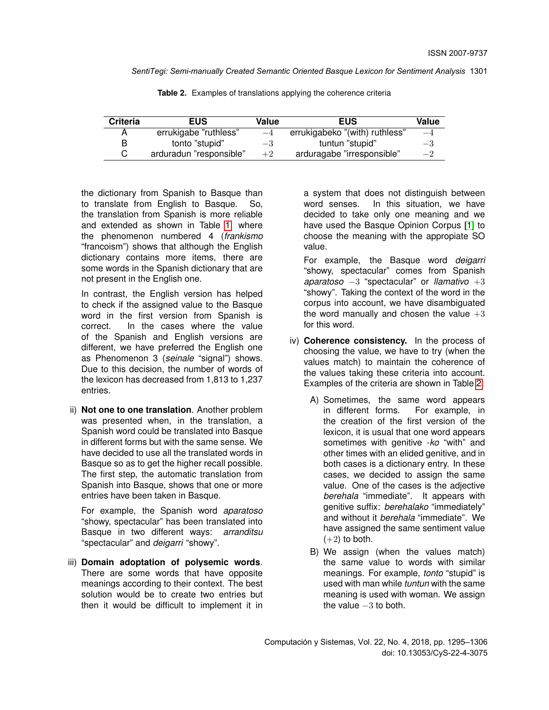<span id="page-6-0"></span>

| <b>Criteria</b> | <b>EUS</b>              | Value | <b>EUS</b>                     | Value |
|-----------------|-------------------------|-------|--------------------------------|-------|
|                 | errukigabe "ruthless"   | $-4$  | errukigabeko "(with) ruthless" | $-4$  |
| В               | tonto "stupid"          | $-3$  | tuntun "stupid"                | $-3$  |
|                 | arduradun "responsible" | $+2$  | arduragabe "irresponsible"     | $-2$  |

the dictionary from Spanish to Basque than to translate from English to Basque. So, the translation from Spanish is more reliable and extended as shown in Table [1,](#page-4-0) where the phenomenon numbered 4 (*frankismo* "francoism") shows that although the English dictionary contains more items, there are some words in the Spanish dictionary that are not present in the English one.

In contrast, the English version has helped to check if the assigned value to the Basque word in the first version from Spanish is correct. In the cases where the value of the Spanish and English versions are different, we have preferred the English one as Phenomenon 3 (*seinale* "signal") shows. Due to this decision, the number of words of the lexicon has decreased from 1,813 to 1,237 entries.

ii) **Not one to one translation**. Another problem was presented when, in the translation, a Spanish word could be translated into Basque in different forms but with the same sense. We have decided to use all the translated words in Basque so as to get the higher recall possible. The first step, the automatic translation from Spanish into Basque, shows that one or more entries have been taken in Basque.

For example, the Spanish word *aparatoso* "showy, spectacular" has been translated into Basque in two different ways: *arranditsu* "spectacular" and *deigarri* "showy".

iii) **Domain adoptation of polysemic words**. There are some words that have opposite meanings according to their context. The best solution would be to create two entries but then it would be difficult to implement it in

a system that does not distinguish between word senses. In this situation, we have decided to take only one meaning and we have used the Basque Opinion Corpus [\[1\]](#page-11-13) to choose the meaning with the appropiate SO value.

For example, the Basque word *deigarri* "showy, spectacular" comes from Spanish *aparatoso* −3 "spectacular" or *llamativo* +3 "showy". Taking the context of the word in the corpus into account, we have disambiguated the word manually and chosen the value  $+3$ for this word.

- iv) **Coherence consistency.** In the process of choosing the value, we have to try (when the values match) to maintain the coherence of the values taking these criteria into account. Examples of the criteria are shown in Table [2.](#page-6-0)
	- A) Sometimes, the same word appears in different forms. For example, in the creation of the first version of the lexicon, it is usual that one word appears sometimes with genitive -*ko* "with" and other times with an elided genitive, and in both cases is a dictionary entry. In these cases, we decided to assign the same value. One of the cases is the adjective *berehala* "immediate". It appears with genitive suffix: *berehalako* "immediately" and without it *berehala* "immediate". We have assigned the same sentiment value  $(+2)$  to both.
	- B) We assign (when the values match) the same value to words with similar meanings. For example, *tonto* "stupid" is used with man while *tuntun* with the same meaning is used with woman. We assign the value  $-3$  to both.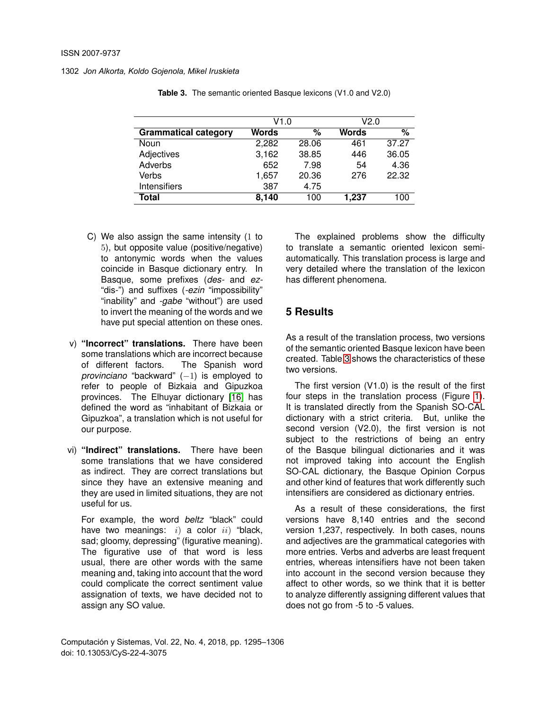<span id="page-7-0"></span>

|                             | V1.0  |       | V2.0  |       |
|-----------------------------|-------|-------|-------|-------|
| <b>Grammatical category</b> | Words | %     | Words | %     |
| Noun                        | 2,282 | 28.06 | 461   | 37.27 |
| Adjectives                  | 3,162 | 38.85 | 446   | 36.05 |
| Adverbs                     | 652   | 7.98  | 54    | 4.36  |
| Verbs                       | 1,657 | 20.36 | 276   | 22.32 |
| <b>Intensifiers</b>         | 387   | 4.75  |       |       |
| Total                       | 8,140 | 100   | 1,237 | 100   |

**Table 3.** The semantic oriented Basque lexicons (V1.0 and V2.0)

- C) We also assign the same intensity (1 to 5), but opposite value (positive/negative) to antonymic words when the values coincide in Basque dictionary entry. In Basque, some prefixes (*des-* and *ez-* "dis-") and suffixes (*-ezin* "impossibility" "inability" and *-gabe* "without") are used to invert the meaning of the words and we have put special attention on these ones.
- v) **"Incorrect" translations.** There have been some translations which are incorrect because of different factors. The Spanish word *provinciano* "backward" (−1) is employed to refer to people of Bizkaia and Gipuzkoa provinces. The Elhuyar dictionary [\[16\]](#page-11-11) has defined the word as "inhabitant of Bizkaia or Gipuzkoa", a translation which is not useful for our purpose.
- vi) **"Indirect" translations.** There have been some translations that we have considered as indirect. They are correct translations but since they have an extensive meaning and they are used in limited situations, they are not useful for us.

For example, the word *beltz* "black" could have two meanings:  $i)$  a color  $ii)$  "black, sad; gloomy, depressing" (figurative meaning). The figurative use of that word is less usual, there are other words with the same meaning and, taking into account that the word could complicate the correct sentiment value assignation of texts, we have decided not to assign any SO value.

The explained problems show the difficulty to translate a semantic oriented lexicon semiautomatically. This translation process is large and very detailed where the translation of the lexicon has different phenomena.

#### **5 Results**

As a result of the translation process, two versions of the semantic oriented Basque lexicon have been created. Table [3](#page-7-0) shows the characteristics of these two versions.

The first version (V1.0) is the result of the first four steps in the translation process (Figure [1\)](#page-3-0). It is translated directly from the Spanish SO-CAL dictionary with a strict criteria. But, unlike the second version (V2.0), the first version is not subject to the restrictions of being an entry of the Basque bilingual dictionaries and it was not improved taking into account the English SO-CAL dictionary, the Basque Opinion Corpus and other kind of features that work differently such intensifiers are considered as dictionary entries.

As a result of these considerations, the first versions have 8,140 entries and the second version 1,237, respectively. In both cases, nouns and adjectives are the grammatical categories with more entries. Verbs and adverbs are least frequent entries, whereas intensifiers have not been taken into account in the second version because they affect to other words, so we think that it is better to analyze differently assigning different values that does not go from -5 to -5 values.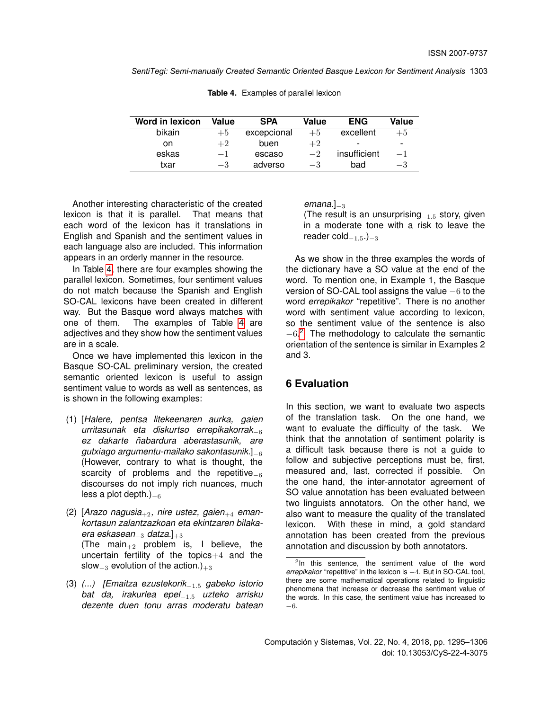<span id="page-8-0"></span>

| Word in lexicon | Value | <b>SPA</b>  | Value | <b>ENG</b>   | Value                    |
|-----------------|-------|-------------|-------|--------------|--------------------------|
| bikain          | $+5$  | excepcional | $+5$  | excellent    | $+5$                     |
| on.             | $+2$  | buen        | $+2$  |              | $\overline{\phantom{a}}$ |
| eskas           | $-1$  | escaso      | $-2$  | insufficient | $-1$                     |
| txar            | $-3$  | adverso     | $-3$  | bad          | $-3$                     |

**Table 4.** Examples of parallel lexicon

Another interesting characteristic of the created lexicon is that it is parallel. That means that each word of the lexicon has it translations in English and Spanish and the sentiment values in each language also are included. This information appears in an orderly manner in the resource.

In Table [4,](#page-8-0) there are four examples showing the parallel lexicon. Sometimes, four sentiment values do not match because the Spanish and English SO-CAL lexicons have been created in different way. But the Basque word always matches with one of them. The examples of Table [4](#page-8-0) are adjectives and they show how the sentiment values are in a scale.

Once we have implemented this lexicon in the Basque SO-CAL preliminary version, the created semantic oriented lexicon is useful to assign sentiment value to words as well as sentences, as is shown in the following examples:

- (1) [*Halere, pentsa litekeenaren aurka, gaien urritasunak eta diskurtso errepikakorrak*<sup>−</sup><sup>6</sup> *ez dakarte nabardura aberastasunik, are ˜ gutxiago argumentu-mailako sakontasunik.*]<sup>−</sup><sup>6</sup> (However, contrary to what is thought, the scarcity of problems and the repetitive $_{-6}$ discourses do not imply rich nuances, much less a plot depth.)<sub>−6</sub>
- (2) [*Arazo nagusia*+2*, nire ustez, gaien*+4 *emankortasun zalantzazkoan eta ekintzaren bilakaera eskasean*<sup>−</sup><sup>3</sup> *datza.*]+3 (The main $_{+2}$  problem is, I believe, the uncertain fertility of the topics $+4$  and the slow<sub> $-3$ </sub> evolution of the action.)<sub>+3</sub>
- (3) *(...) [Emaitza ezustekorik*<sup>−</sup>1.5 *gabeko istorio bat da, irakurlea epel*<sup>−</sup>1.5 *uzteko arrisku dezente duen tonu arras moderatu batean*

*emana.*]−<sup>3</sup>

(The result is an unsurprising $_{-1.5}$  story, given in a moderate tone with a risk to leave the reader  $\text{cold}_{-1.5}$ .)<sub>−3</sub>

As we show in the three examples the words of the dictionary have a SO value at the end of the word. To mention one, in Example 1, the Basque version of SO-CAL tool assigns the value −6 to the word *errepikakor* "repetitive". There is no another word with sentiment value according to lexicon, so the sentiment value of the sentence is also  $-6<sup>2</sup>$  $-6<sup>2</sup>$  $-6<sup>2</sup>$  The methodology to calculate the semantic orientation of the sentence is similar in Examples 2 and 3.

### **6 Evaluation**

In this section, we want to evaluate two aspects of the translation task. On the one hand, we want to evaluate the difficulty of the task. We think that the annotation of sentiment polarity is a difficult task because there is not a guide to follow and subjective perceptions must be, first, measured and, last, corrected if possible. On the one hand, the inter-annotator agreement of SO value annotation has been evaluated between two linguists annotators. On the other hand, we also want to measure the quality of the translated lexicon. With these in mind, a gold standard annotation has been created from the previous annotation and discussion by both annotators.

<span id="page-8-1"></span><sup>&</sup>lt;sup>2</sup>In this sentence, the sentiment value of the word *errepikakor* "repetitive" in the lexicon is −4. But in SO-CAL tool, there are some mathematical operations related to linguistic phenomena that increase or decrease the sentiment value of the words. In this case, the sentiment value has increased to −6.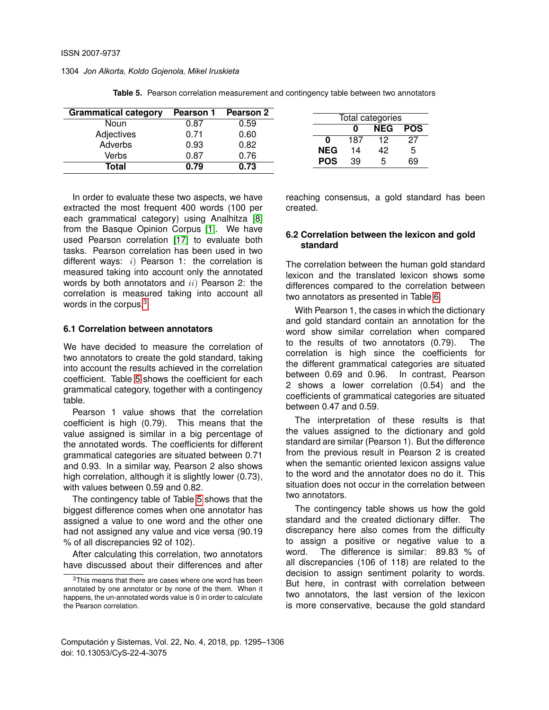<span id="page-9-1"></span>

| <b>Pearson 1</b> | <b>Pearson 2</b>     |                              |    |                                       |                                      |
|------------------|----------------------|------------------------------|----|---------------------------------------|--------------------------------------|
| 0.87             | 0.59                 |                              |    |                                       |                                      |
| 0.71             |                      |                              |    |                                       | <b>POS</b>                           |
|                  |                      |                              |    |                                       | 27                                   |
|                  |                      |                              |    |                                       |                                      |
|                  |                      |                              | 39 | ۰.                                    | 69                                   |
|                  | 0.93<br>0.87<br>0.79 | 0.60<br>0.82<br>0.76<br>0.73 |    | 187<br><b>NEG</b><br>14<br><b>POS</b> | Total categories<br><b>NEG</b><br>42 |

**Table 5.** Pearson correlation measurement and contingency table between two annotators

In order to evaluate these two aspects, we have extracted the most frequent 400 words (100 per each grammatical category) using Analhitza [\[8\]](#page-11-15) from the Basque Opinion Corpus [\[1\]](#page-11-13). We have used Pearson correlation [\[17\]](#page-11-16) to evaluate both tasks. Pearson correlation has been used in two different ways:  $i)$  Pearson 1: the correlation is measured taking into account only the annotated words by both annotators and  $ii)$  Pearson 2: the correlation is measured taking into account all words in the corpus.<sup>[3](#page-9-0)</sup>

#### **6.1 Correlation between annotators**

We have decided to measure the correlation of two annotators to create the gold standard, taking into account the results achieved in the correlation coefficient. Table [5](#page-9-1) shows the coefficient for each grammatical category, together with a contingency table.

Pearson 1 value shows that the correlation coefficient is high (0.79). This means that the value assigned is similar in a big percentage of the annotated words. The coefficients for different grammatical categories are situated between 0.71 and 0.93. In a similar way, Pearson 2 also shows high correlation, although it is slightly lower (0.73), with values between 0.59 and 0.82.

The contingency table of Table [5](#page-9-1) shows that the biggest difference comes when one annotator has assigned a value to one word and the other one had not assigned any value and vice versa (90.19 % of all discrepancies 92 of 102).

After calculating this correlation, two annotators have discussed about their differences and after reaching consensus, a gold standard has been created.

#### **6.2 Correlation between the lexicon and gold standard**

The correlation between the human gold standard lexicon and the translated lexicon shows some differences compared to the correlation between two annotators as presented in Table [6.](#page-10-0)

With Pearson 1, the cases in which the dictionary and gold standard contain an annotation for the word show similar correlation when compared to the results of two annotators (0.79). The correlation is high since the coefficients for the different grammatical categories are situated between 0.69 and 0.96. In contrast, Pearson 2 shows a lower correlation (0.54) and the coefficients of grammatical categories are situated between 0.47 and 0.59.

The interpretation of these results is that the values assigned to the dictionary and gold standard are similar (Pearson 1). But the difference from the previous result in Pearson 2 is created when the semantic oriented lexicon assigns value to the word and the annotator does no do it. This situation does not occur in the correlation between two annotators.

The contingency table shows us how the gold standard and the created dictionary differ. The discrepancy here also comes from the difficulty to assign a positive or negative value to a word. The difference is similar: 89.83 % of all discrepancies (106 of 118) are related to the decision to assign sentiment polarity to words. But here, in contrast with correlation between two annotators, the last version of the lexicon is more conservative, because the gold standard

<span id="page-9-0"></span><sup>&</sup>lt;sup>3</sup>This means that there are cases where one word has been annotated by one annotator or by none of the them. When it happens, the un-annotated words value is 0 in order to calculate the Pearson correlation.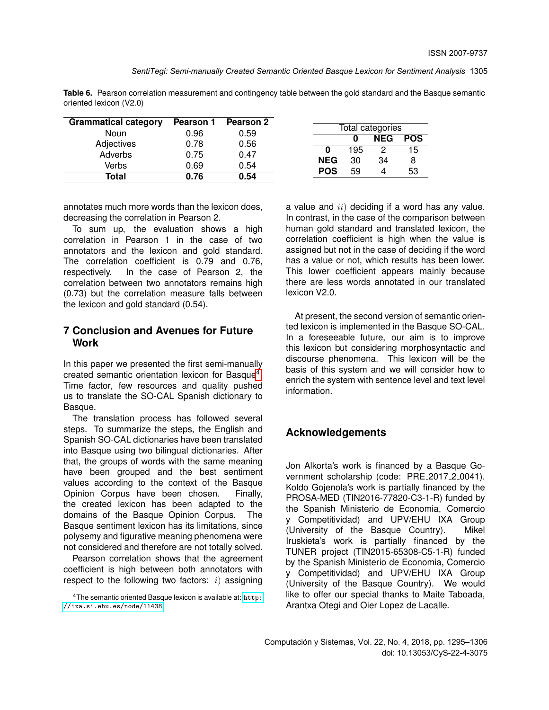<span id="page-10-0"></span>**Table 6.** Pearson correlation measurement and contingency table between the gold standard and the Basque semantic oriented lexicon (V2.0)

| <b>Grammatical category</b> | Pearson 1 | Pearson 2 |            |     |                  |     |
|-----------------------------|-----------|-----------|------------|-----|------------------|-----|
| Noun                        | 0.96      | 0.59      |            |     | Total categories |     |
| Adjectives                  | 0.78      | 0.56      |            |     | <b>NEG</b>       | PO: |
| Adverbs                     | 0.75      | 0.47      |            | 195 | 2                | 15  |
| Verbs                       | 0.69      | 0.54      | <b>NEG</b> | 30  | 34               | 8   |
| Total                       | 0.76      | 0.54      | <b>POS</b> | 59  | 4                | 53  |
|                             |           |           |            |     |                  |     |

annotates much more words than the lexicon does, decreasing the correlation in Pearson 2.

To sum up, the evaluation shows a high correlation in Pearson 1 in the case of two annotators and the lexicon and gold standard. The correlation coefficient is 0.79 and 0.76, respectively. In the case of Pearson 2, the correlation between two annotators remains high (0.73) but the correlation measure falls between the lexicon and gold standard (0.54).

### **7 Conclusion and Avenues for Future Work**

In this paper we presented the first semi-manually created semantic orientation lexicon for Basque<sup>[4](#page-10-1)</sup>. Time factor, few resources and quality pushed us to translate the SO-CAL Spanish dictionary to Basque.

The translation process has followed several steps. To summarize the steps, the English and Spanish SO-CAL dictionaries have been translated into Basque using two bilingual dictionaries. After that, the groups of words with the same meaning have been grouped and the best sentiment values according to the context of the Basque Opinion Corpus have been chosen. Finally, the created lexicon has been adapted to the domains of the Basque Opinion Corpus. The Basque sentiment lexicon has its limitations, since polysemy and figurative meaning phenomena were not considered and therefore are not totally solved.

Pearson correlation shows that the agreement coefficient is high between both annotators with respect to the following two factors:  $i)$  assigning

a value and  $ii)$  deciding if a word has any value. In contrast, in the case of the comparison between human gold standard and translated lexicon, the correlation coefficient is high when the value is assigned but not in the case of deciding if the word has a value or not, which results has been lower. This lower coefficient appears mainly because there are less words annotated in our translated lexicon V2.0.

**0 NEG POS 0** 195 2 15

At present, the second version of semantic oriented lexicon is implemented in the Basque SO-CAL. In a foreseeable future, our aim is to improve this lexicon but considering morphosyntactic and discourse phenomena. This lexicon will be the basis of this system and we will consider how to enrich the system with sentence level and text level information.

### **Acknowledgements**

Jon Alkorta's work is financed by a Basque Government scholarship (code: PRE 2017 2 0041). Koldo Gojenola's work is partially financed by the PROSA-MED (TIN2016-77820-C3-1-R) funded by the Spanish Ministerio de Economia, Comercio y Competitividad) and UPV/EHU IXA Group (University of the Basque Country). Mikel Iruskieta's work is partially financed by the TUNER project (TIN2015-65308-C5-1-R) funded by the Spanish Ministerio de Economia, Comercio y Competitividad) and UPV/EHU IXA Group (University of the Basque Country). We would like to offer our special thanks to Maite Taboada, Arantxa Otegi and Oier Lopez de Lacalle.

<span id="page-10-1"></span><sup>4</sup>The semantic oriented Basque lexicon is available at: [http:](http://ixa.si.ehu.es/node/11438) [//ixa.si.ehu.es/node/11438](http://ixa.si.ehu.es/node/11438)